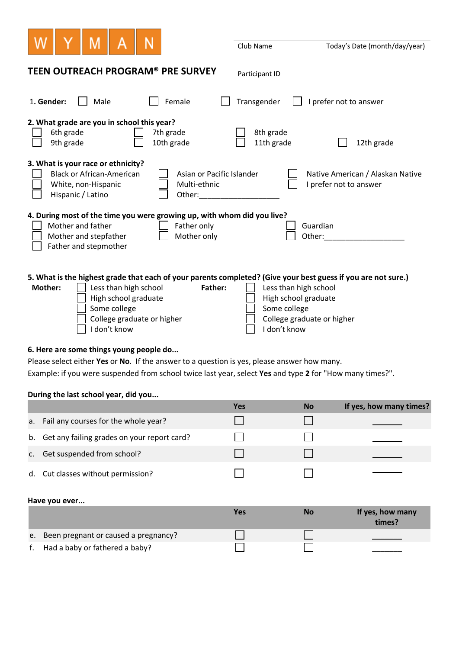|                                                                                                                                                                                                                                                                                                                                                                                 | Club Name               | Today's Date (month/day/year)        |  |  |  |
|---------------------------------------------------------------------------------------------------------------------------------------------------------------------------------------------------------------------------------------------------------------------------------------------------------------------------------------------------------------------------------|-------------------------|--------------------------------------|--|--|--|
| <b>TEEN OUTREACH PROGRAM® PRE SURVEY</b>                                                                                                                                                                                                                                                                                                                                        | Participant ID          |                                      |  |  |  |
| 1. Gender:<br>Male<br>Female<br>Transgender<br>I prefer not to answer                                                                                                                                                                                                                                                                                                           |                         |                                      |  |  |  |
| 2. What grade are you in school this year?<br>6th grade<br>7th grade<br>9th grade<br>10th grade                                                                                                                                                                                                                                                                                 | 8th grade<br>11th grade | 12th grade                           |  |  |  |
| 3. What is your race or ethnicity?<br><b>Black or African-American</b><br>Asian or Pacific Islander<br>Native American / Alaskan Native<br>White, non-Hispanic<br>Multi-ethnic<br>I prefer not to answer<br>Hispanic / Latino<br>Other:                                                                                                                                         |                         |                                      |  |  |  |
| 4. During most of the time you were growing up, with whom did you live?<br>Mother and father<br>Father only<br>Guardian<br>Mother and stepfather<br>Mother only<br>Other:<br>Father and stepmother                                                                                                                                                                              |                         |                                      |  |  |  |
| 5. What is the highest grade that each of your parents completed? (Give your best guess if you are not sure.)<br>Less than high school<br><b>Mother:</b><br>Less than high school<br><b>Father:</b><br>High school graduate<br>High school graduate<br>Some college<br>Some college<br>College graduate or higher<br>College graduate or higher<br>I don't know<br>I don't know |                         |                                      |  |  |  |
| 6. Here are some things young people do                                                                                                                                                                                                                                                                                                                                         |                         |                                      |  |  |  |
| Please select either Yes or No. If the answer to a question is yes, please answer how many.                                                                                                                                                                                                                                                                                     |                         |                                      |  |  |  |
| Example: if you were suspended from school twice last year, select Yes and type 2 for "How many times?".                                                                                                                                                                                                                                                                        |                         |                                      |  |  |  |
| During the last school year, did you                                                                                                                                                                                                                                                                                                                                            |                         |                                      |  |  |  |
|                                                                                                                                                                                                                                                                                                                                                                                 | Yes                     | If yes, how many times?<br><b>No</b> |  |  |  |
| $F_0$ il any courses for the whole word                                                                                                                                                                                                                                                                                                                                         | $\mathbf{1}$            | l 1                                  |  |  |  |

|                                                | . . | . | <b>II</b> YC <sub>2</sub> , HOW HIGHY CHILC <sub>2</sub> : |
|------------------------------------------------|-----|---|------------------------------------------------------------|
| a. Fail any courses for the whole year?        |     |   |                                                            |
| b. Get any failing grades on your report card? |     |   |                                                            |
| c. Get suspended from school?                  |     |   |                                                            |
| d. Cut classes without permission?             |     |   |                                                            |

## **Have you ever...**

|                                         | Yes | No | If yes, how many<br>times? |
|-----------------------------------------|-----|----|----------------------------|
| e. Been pregnant or caused a pregnancy? |     |    |                            |
| f. Had a baby or fathered a baby?       |     |    |                            |